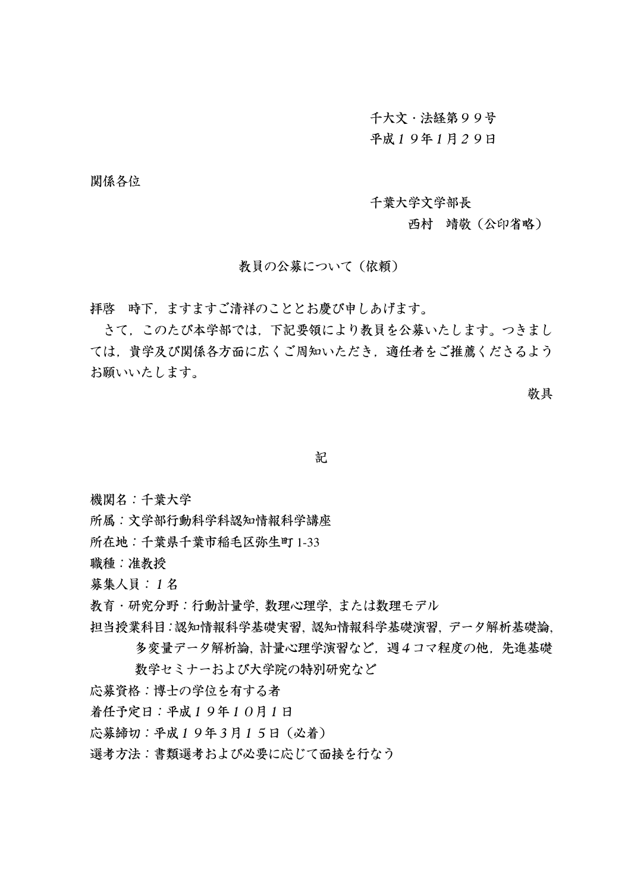千大文·法経第99号

## 平成19年1月29日

関係各位

千葉大学文学部長

## 西村 靖敬 (公印省略)

教員の公募について(依頼)

拝啓 時下. ますますご清祥のこととお慶び申しあげます。

さて、このたび本学部では、下記要領により教員を公募いたします。つきまし ては、貴学及び関係各方面に広くご周知いただき、適任者をご推薦くださるよう お願いいたします。

敬具

記

機関名:千葉大学

所属:文学部行動科学科認知情報科学講座

所在地:千葉県千葉市稲毛区弥生町 1-33

職種:准教授

募集人員: 1名

教育・研究分野:行動計量学、数理心理学、または数理モデル

担当授業科目:認知情報科学基礎実習、認知情報科学基礎演習、データ解析基礎論.

多変量データ解析論、計量心理学演習など、週4コマ程度の他. 先進基礎 数学セミナーおよび大学院の特別研究など

応募資格:博士の学位を有する者

着任予定日:平成19年10月1日

応募締切:平成19年3月15日 (必着)

選考方法:書類選考および必要に応じて面接を行なう